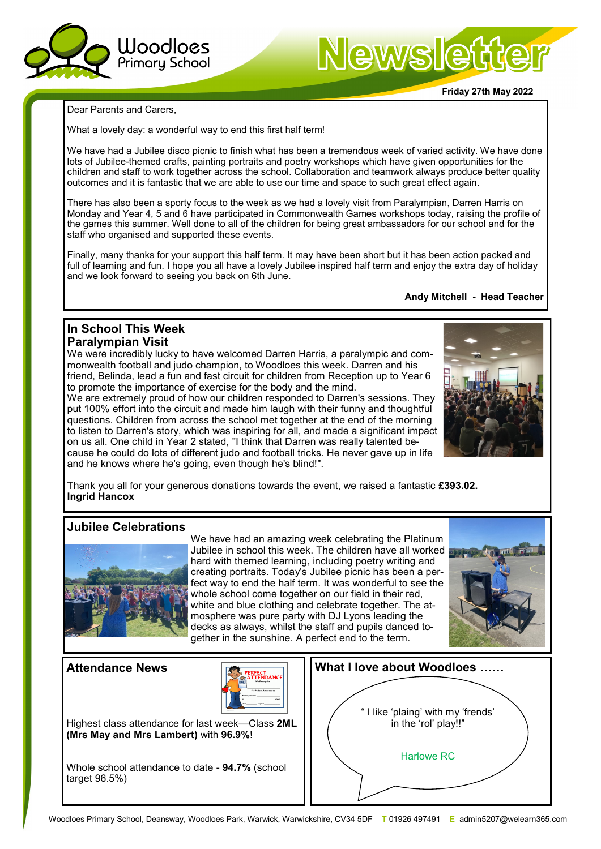

# Newslett

**Friday 27th May 2022**

Dear Parents and Carers,

What a lovely day: a wonderful way to end this first half term!

We have had a Jubilee disco picnic to finish what has been a tremendous week of varied activity. We have done lots of Jubilee-themed crafts, painting portraits and poetry workshops which have given opportunities for the children and staff to work together across the school. Collaboration and teamwork always produce better quality outcomes and it is fantastic that we are able to use our time and space to such great effect again.

There has also been a sporty focus to the week as we had a lovely visit from Paralympian, Darren Harris on Monday and Year 4, 5 and 6 have participated in Commonwealth Games workshops today, raising the profile of the games this summer. Well done to all of the children for being great ambassadors for our school and for the staff who organised and supported these events.

Finally, many thanks for your support this half term. It may have been short but it has been action packed and full of learning and fun. I hope you all have a lovely Jubilee inspired half term and enjoy the extra day of holiday and we look forward to seeing you back on 6th June.

**Andy Mitchell - Head Teacher**

## **In School This Week Paralympian Visit**

We were incredibly lucky to have welcomed Darren Harris, a paralympic and commonwealth football and judo champion, to Woodloes this week. Darren and his friend, Belinda, lead a fun and fast circuit for children from Reception up to Year 6 to promote the importance of exercise for the body and the mind.

We are extremely proud of how our children responded to Darren's sessions. They put 100% effort into the circuit and made him laugh with their funny and thoughtful questions. Children from across the school met together at the end of the morning to listen to Darren's story, which was inspiring for all, and made a significant impact on us all. One child in Year 2 stated, "I think that Darren was really talented because he could do lots of different judo and football tricks. He never gave up in life and he knows where he's going, even though he's blind!".



Thank you all for your generous donations towards the event, we raised a fantastic **£393.02. Ingrid Hancox**

# **Jubilee Celebrations**



We have had an amazing week celebrating the Platinum Jubilee in school this week. The children have all worked hard with themed learning, including poetry writing and creating portraits. Today's Jubilee picnic has been a perfect way to end the half term. It was wonderful to see the whole school come together on our field in their red, white and blue clothing and celebrate together. The atmosphere was pure party with DJ Lyons leading the decks as always, whilst the staff and pupils danced together in the sunshine. A perfect end to the term.



# **Attendance News**



Highest class attendance for last week—Class **2ML (Mrs May and Mrs Lambert)** with **96.9%**!

Whole school attendance to date - **94.7%** (school target 96.5%)

| What I love about Woodloes                                |
|-----------------------------------------------------------|
|                                                           |
| "I like 'plaing' with my 'frends'<br>in the 'rol' play!!" |
| <b>Harlowe RC</b>                                         |
|                                                           |